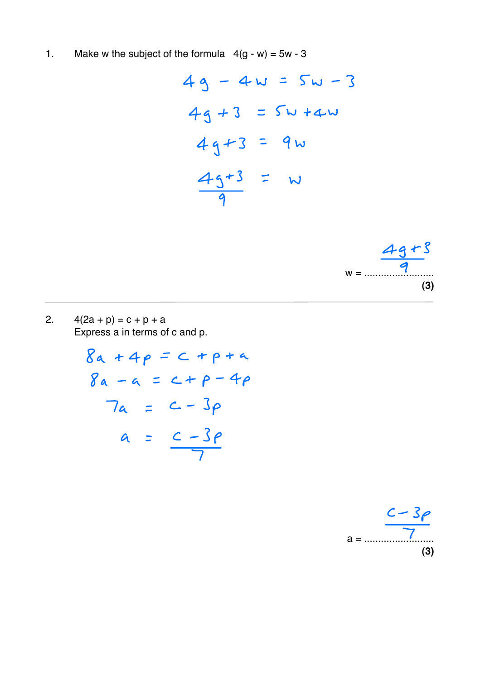$1.$ Make w the subject of the formula  $4(g - w) = 5w - 3$ 





 $2.$  $4(2a + p) = c + p + a$ Express a in terms of c and p.

> $8a + 4p = c + p + a$  $8a - a = c + p - 4p$  $7a = c - 3p$  $a = \frac{c - 3\rho}{7}$

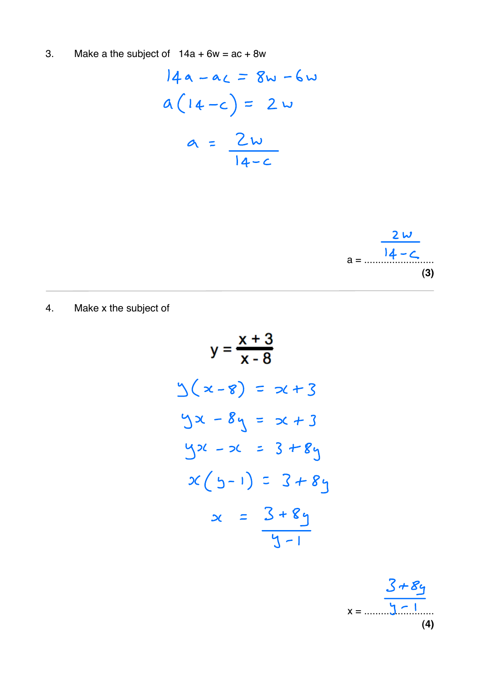3. Make a the subject of  $14a + 6w = ac + 8w$ 

$$
14a - ac = 8w - 6w
$$
  

$$
a(14-c) = 2w
$$
  

$$
a = \frac{2w}{14-c}
$$



Make x the subject of  $4.$ 

$$
y = \frac{x + 3}{x - 8}
$$
  
\n
$$
y = \frac{x + 3}{x - 8}
$$
  
\n
$$
y(x - 8) = x + 3
$$
  
\n
$$
y = x + 3
$$
  
\n
$$
y(x - 8) = x + 3
$$
  
\n
$$
y(x - 8) = x + 3
$$
  
\n
$$
y(x - 8) = x + 3
$$
  
\n
$$
y(x - 8) = x + 3
$$
  
\n
$$
x = 3 + 8y
$$
  
\n
$$
y = 3 + 8y
$$
  
\n
$$
y = 3 + 8y
$$

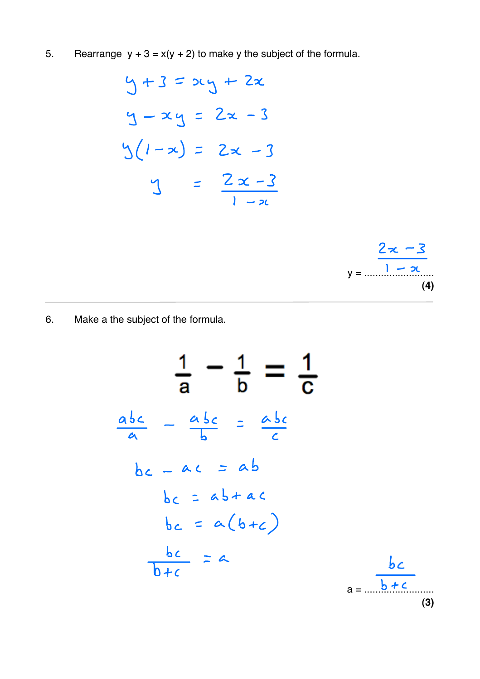5. Rearrange  $y + 3 = x(y + 2)$  to make y the subject of the formula.

$$
9 + 3 = 2x - 3
$$
  

$$
9 - x - 3 = 2x - 3
$$
  

$$
9(1 - x) = 2x - 3
$$
  

$$
9 = \frac{2x - 3}{1 - x}
$$



Make a the subject of the formula. 6.

$$
\frac{1}{a} - \frac{1}{b} = \frac{1}{c}
$$
\n
$$
\frac{a_{bc}}{a} - \frac{a_{bc}}{b} = \frac{a_{bc}}{c}
$$
\n
$$
bc - ac = ab
$$
\n
$$
bc = ab + ac
$$
\n
$$
bc = a(b+c)
$$
\n
$$
\frac{bc}{b+c} = a
$$
\n
$$
a = \frac{bc}{b+c}
$$
\n(3)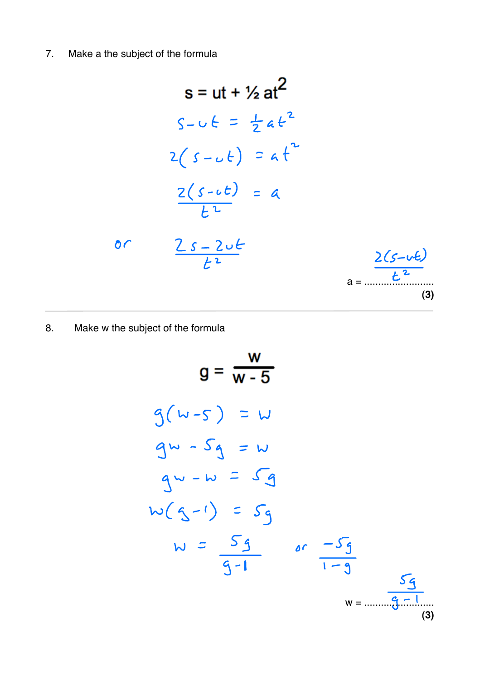$\overline{7}$ . Make a the subject of the formula

$$
s = ut + V_2 at^2
$$
  
\n
$$
S - U_1 \leq \frac{1}{2} a t^2
$$
  
\n
$$
2(s - U_1) = a t^2
$$
  
\n
$$
\frac{2(s - U_1)}{t^2} = a
$$
  
\n
$$
\frac{2(s - 2U_1)}{t^2} = a
$$
  
\n
$$
\frac{2(s - U_1)}{t^2} = a
$$
  
\n
$$
\frac{2(s - U_1)}{t^2} = a
$$
  
\n(3)

8. Make w the subject of the formula

$$
g = \frac{w}{w-5}
$$
  
\n
$$
g(w-5) = w
$$
  
\n
$$
g = \frac{w}{w-5}
$$
  
\n
$$
g(w-5) = w
$$
  
\n
$$
g = \frac{w}{s-5}
$$
  
\n
$$
g = \frac{w}{s-5}
$$
  
\n
$$
g = \frac{w}{s-5}
$$
  
\n
$$
w = \frac{w}{s-5}
$$
  
\n
$$
w = \frac{w}{s-5}
$$
  
\n
$$
w = \frac{w}{s-5}
$$
  
\n(3)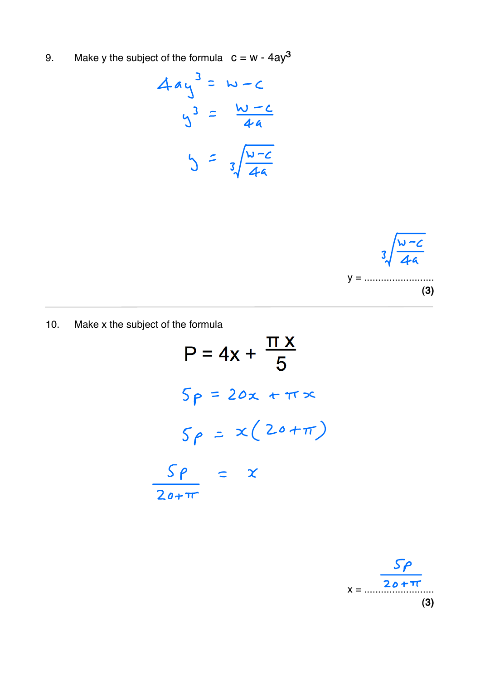Make y the subject of the formula  $c = w - 4ay^3$ 9.

$$
4ay^{3} = w-c
$$
  

$$
y^{3} = \frac{w-c}{4a}
$$
  

$$
y = \sqrt[3]{\frac{w-c}{4a}}
$$



Make x the subject of the formula  $10.$ 

$$
P = 4x + \frac{\pi x}{5}
$$
  

$$
5p = 20x + \pi x
$$
  

$$
5p = x(20 + \pi)
$$
  

$$
\frac{5p}{20 + \pi} = x
$$